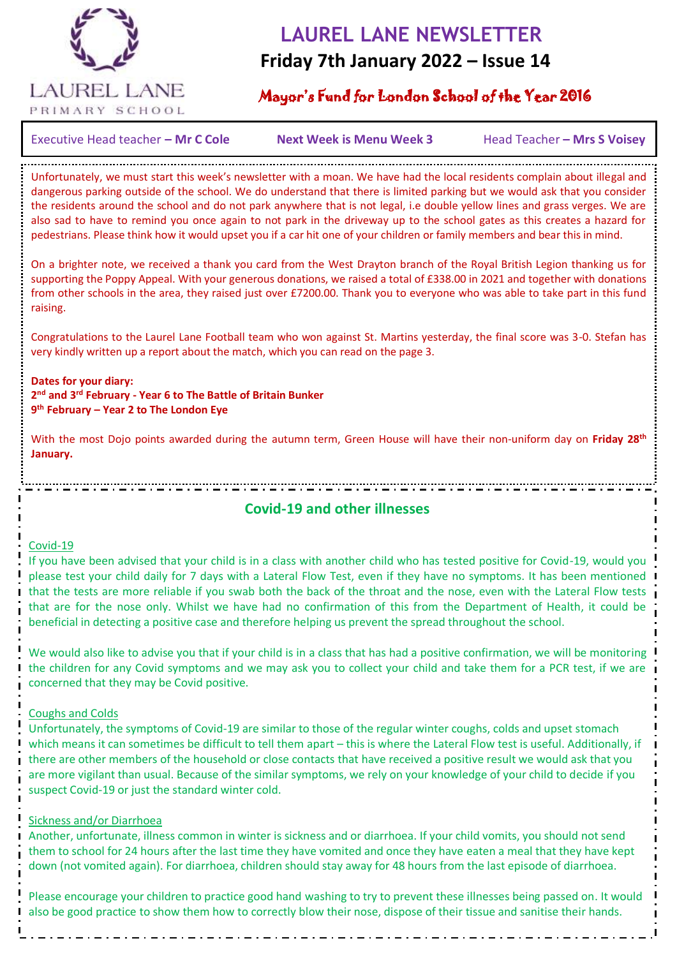

## **LAUREL LANE NEWSLETTER**

## **Friday 7th January 2022 – Issue 14**

### Mayor's Fund for London School of the Year 2016

Executive Head teacher – Mr C Cole **Next Week is Menu Week 3** Head Teacher – Mrs S Voisey

Unfortunately, we must start this week's newsletter with a moan. We have had the local residents complain about illegal and dangerous parking outside of the school. We do understand that there is limited parking but we would ask that you consider the residents around the school and do not park anywhere that is not legal, i.e double yellow lines and grass verges. We are also sad to have to remind you once again to not park in the driveway up to the school gates as this creates a hazard for pedestrians. Please think how it would upset you if a car hit one of your children or family members and bear this in mind.

On a brighter note, we received a thank you card from the West Drayton branch of the Royal British Legion thanking us for supporting the Poppy Appeal. With your generous donations, we raised a total of £338.00 in 2021 and together with donations from other schools in the area, they raised just over £7200.00. Thank you to everyone who was able to take part in this fund raising.

Congratulations to the Laurel Lane Football team who won against St. Martins yesterday, the final score was 3-0. Stefan has very kindly written up a report about the match, which you can read on the page 3.

**Dates for your diary: 2 nd and 3rd February - Year 6 to The Battle of Britain Bunker 9 th February – Year 2 to The London Eye**

 $\overline{a}$ 

With the most Dojo points awarded during the autumn term, Green House will have their non-uniform day on **Friday 28th January.**

**Covid-19 and other illnesses**

#### Covid-19

If you have been advised that your child is in a class with another child who has tested positive for Covid-19, would you please test your child daily for 7 days with a Lateral Flow Test, even if they have no symptoms. It has been mentioned that the tests are more reliable if you swab both the back of the throat and the nose, even with the Lateral Flow tests that are for the nose only. Whilst we have had no confirmation of this from the Department of Health, it could be beneficial in detecting a positive case and therefore helping us prevent the spread throughout the school.

We would also like to advise you that if your child is in a class that has had a positive confirmation, we will be monitoring the children for any Covid symptoms and we may ask you to collect your child and take them for a PCR test, if we are concerned that they may be Covid positive.

#### Coughs and Colds

Unfortunately, the symptoms of Covid-19 are similar to those of the regular winter coughs, colds and upset stomach which means it can sometimes be difficult to tell them apart – this is where the Lateral Flow test is useful. Additionally, if there are other members of the household or close contacts that have received a positive result we would ask that you are more vigilant than usual. Because of the similar symptoms, we rely on your knowledge of your child to decide if you suspect Covid-19 or just the standard winter cold.

#### Sickness and/or Diarrhoea

Another, unfortunate, illness common in winter is sickness and or diarrhoea. If your child vomits, you should not send them to school for 24 hours after the last time they have vomited and once they have eaten a meal that they have kept down (not vomited again). For diarrhoea, children should stay away for 48 hours from the last episode of diarrhoea.

Please encourage your children to practice good hand washing to try to prevent these illnesses being passed on. It would also be good practice to show them how to correctly blow their nose, dispose of their tissue and sanitise their hands.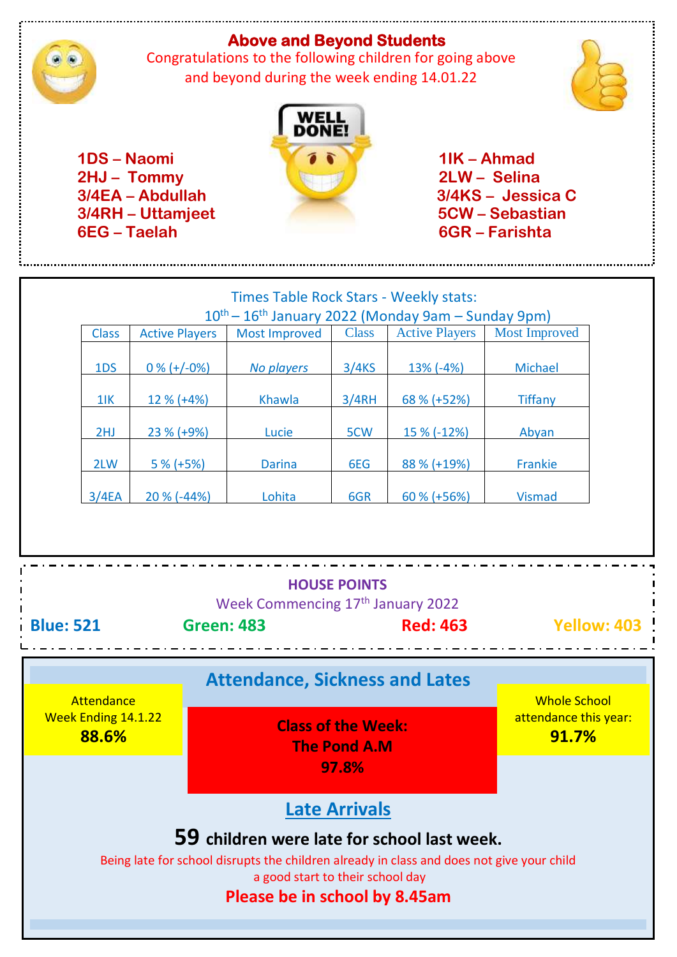## **Above and Beyond Students**



 Congratulations to the following children for going above and beyond during the week ending 14.01.22





| 1DS-Naomi<br>2HJ - Tommy<br>3/4EA - Abdullah<br>3/4RH - Uttamjeet<br>6EG - Taelah                                                                                                                                                     |                 |                       | DONE!                                                                                                                |              |                       | $1$ IK - Ahmad<br>2LW-Selina<br>3/4KS - Jessica C<br>5CW – Sebastian<br>6GR – Farishta |                    |
|---------------------------------------------------------------------------------------------------------------------------------------------------------------------------------------------------------------------------------------|-----------------|-----------------------|----------------------------------------------------------------------------------------------------------------------|--------------|-----------------------|----------------------------------------------------------------------------------------|--------------------|
|                                                                                                                                                                                                                                       |                 |                       | Times Table Rock Stars - Weekly stats:<br>10 <sup>th</sup> - 16 <sup>th</sup> January 2022 (Monday 9am - Sunday 9pm) |              |                       |                                                                                        |                    |
|                                                                                                                                                                                                                                       | <b>Class</b>    | <b>Active Players</b> | <b>Most Improved</b>                                                                                                 | <b>Class</b> | <b>Active Players</b> | <b>Most Improved</b>                                                                   |                    |
|                                                                                                                                                                                                                                       | 1 <sub>DS</sub> | $0\% (+/-0\%)$        | <b>No players</b>                                                                                                    | 3/4KS        | $13\%$ (-4%)          | Michael                                                                                |                    |
|                                                                                                                                                                                                                                       | $1$ IK          | 12 % (+4%)            | Khawla                                                                                                               | 3/4RH        | 68 % (+52%)           | <b>Tiffany</b>                                                                         |                    |
|                                                                                                                                                                                                                                       | 2HJ             | 23 % (+9%)            | Lucie                                                                                                                | 5CW          | 15 % (-12%)           | Abyan                                                                                  |                    |
|                                                                                                                                                                                                                                       | 2LW             | $5% (+5%)$            | <b>Darina</b>                                                                                                        | 6EG          | 88 % (+19%)           | Frankie                                                                                |                    |
|                                                                                                                                                                                                                                       | 3/4EA           | 20 % (-44%)           | Lohita                                                                                                               | 6GR          | 60 % (+56%)           | <b>Vismad</b>                                                                          |                    |
|                                                                                                                                                                                                                                       |                 |                       |                                                                                                                      |              |                       |                                                                                        |                    |
| <b>HOUSE POINTS</b><br>Week Commencing 17th January 2022<br><b>Blue: 521</b><br><b>Green: 483</b><br><b>Red: 463</b>                                                                                                                  |                 |                       |                                                                                                                      |              |                       |                                                                                        | <b>Yellow: 403</b> |
|                                                                                                                                                                                                                                       |                 |                       | <b>Attendance, Sickness and Lates</b>                                                                                |              |                       |                                                                                        |                    |
| Attendance<br><b>Week Ending 14.1.22</b><br>88.6%                                                                                                                                                                                     |                 |                       | <b>Class of the Week:</b><br><b>The Pond A.M</b>                                                                     |              |                       | <b>Whole School</b><br>attendance this year:<br>91.7%                                  |                    |
| 97.8%                                                                                                                                                                                                                                 |                 |                       |                                                                                                                      |              |                       |                                                                                        |                    |
| <b>Late Arrivals</b><br>59 children were late for school last week.<br>Being late for school disrupts the children already in class and does not give your child<br>a good start to their school day<br>Please be in school by 8.45am |                 |                       |                                                                                                                      |              |                       |                                                                                        |                    |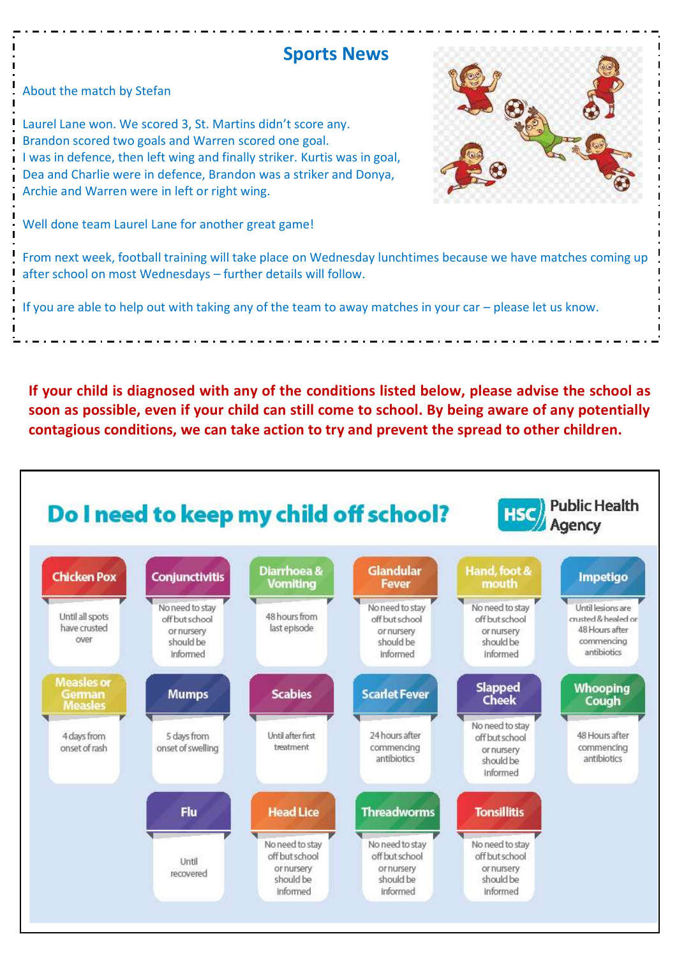## **Sports News**

About the match by Stefan

Laurel Lane won. We scored 3, St. Martins didn't score any. Brandon scored two goals and Warren scored one goal. I was in defence, then left wing and finally striker. Kurtis was in goal, Dea and Charlie were in defence, Brandon was a striker and Donya, Archie and Warren were in left or right wing.

Well done team Laurel Lane for another great game!

From next week, football training will take place on Wednesday lunchtimes because we have matches coming up after school on most Wednesdays – further details will follow.

If you are able to help out with taking any of the team to away matches in your car – please let us know.

**If your child is diagnosed with any of the conditions listed below, please advise the school as soon as possible, even if your child can still come to school. By being aware of any potentially contagious conditions, we can take action to try and prevent the spread to other children.**



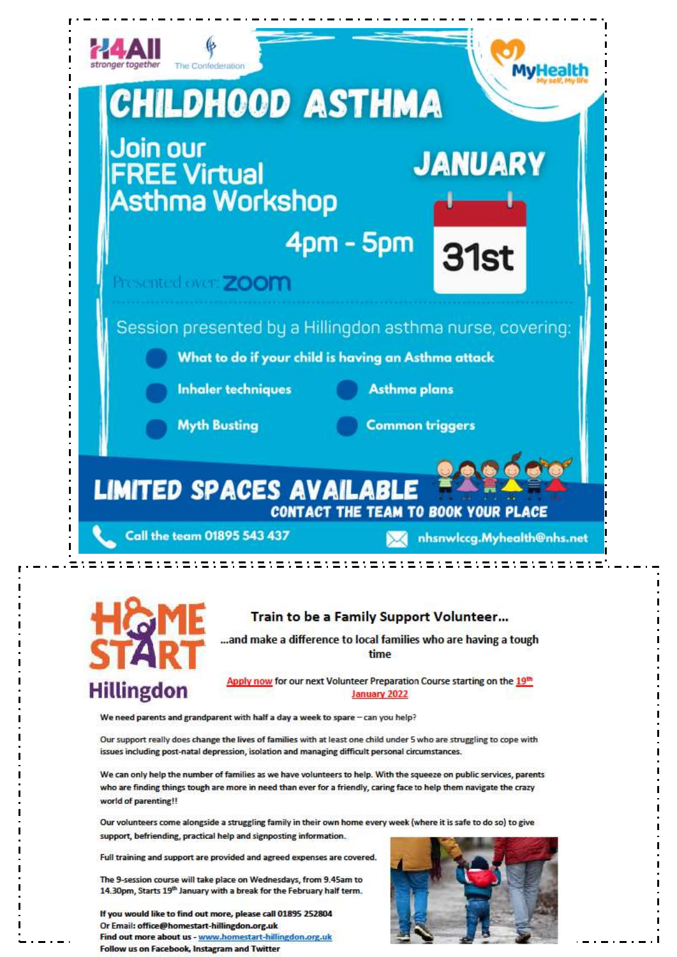



#### Train to be a Family Support Volunteer...

...and make a difference to local families who are having a tough time

Apply now for our next Volunteer Preparation Course starting on the 19th January 2022

We need parents and grandparent with half a day a week to spare - can you help?

Our support really does change the lives of families with at least one child under 5 who are struggling to cope with issues including post-natal depression, isolation and managing difficult personal circumstances.

We can only help the number of families as we have volunteers to help. With the squeeze on public services, parents who are finding things tough are more in need than ever for a friendly, caring face to help them navigate the crazy world of parenting!!

Our volunteers come alongside a struggling family in their own home every week (where it is safe to do so) to give support, befriending, practical help and signposting information.

Full training and support are provided and agreed expenses are covered.

The 9-session course will take place on Wednesdays, from 9.45am to 14.30pm, Starts 19<sup>th</sup> January with a break for the February half term.

If you would like to find out more, please call 01895 252804 Or Email: office@homestart-hillingdon.org.uk Find out more about us - www.homestart-hillingdon.org.uk Follow us on Facebook, Instagram and Twitter